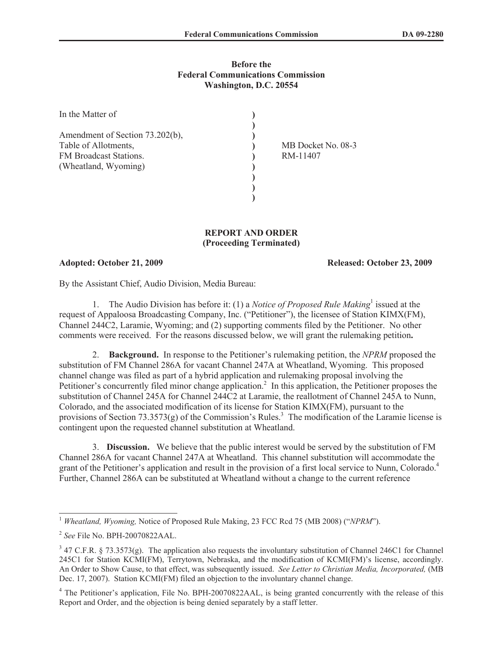## **Before the Federal Communications Commission Washington, D.C. 20554**

| In the Matter of                |                    |
|---------------------------------|--------------------|
|                                 |                    |
| Amendment of Section 73.202(b), |                    |
| Table of Allotments,            | MB Docket No. 08-3 |
| FM Broadcast Stations.          | RM-11407           |
| (Wheatland, Wyoming)            |                    |
|                                 |                    |
|                                 |                    |
|                                 |                    |

## **REPORT AND ORDER (Proceeding Terminated)**

## **Adopted: October 21, 2009 Released: October 23, 2009**

By the Assistant Chief, Audio Division, Media Bureau:

1. The Audio Division has before it: (1) a *Notice of Proposed Rule Making*<sup>1</sup> issued at the request of Appaloosa Broadcasting Company, Inc. ("Petitioner"), the licensee of Station KIMX(FM), Channel 244C2, Laramie, Wyoming; and (2) supporting comments filed by the Petitioner. No other comments were received. For the reasons discussed below, we will grant the rulemaking petition**.** 

2. **Background.** In response to the Petitioner's rulemaking petition, the *NPRM* proposed the substitution of FM Channel 286A for vacant Channel 247A at Wheatland, Wyoming. This proposed channel change was filed as part of a hybrid application and rulemaking proposal involving the Petitioner's concurrently filed minor change application.<sup>2</sup> In this application, the Petitioner proposes the substitution of Channel 245A for Channel 244C2 at Laramie, the reallotment of Channel 245A to Nunn, Colorado, and the associated modification of its license for Station KIMX(FM), pursuant to the provisions of Section 73.3573(g) of the Commission's Rules.<sup>3</sup> The modification of the Laramie license is contingent upon the requested channel substitution at Wheatland.

3. **Discussion.** We believe that the public interest would be served by the substitution of FM Channel 286A for vacant Channel 247A at Wheatland. This channel substitution will accommodate the grant of the Petitioner's application and result in the provision of a first local service to Nunn, Colorado.<sup>4</sup> Further, Channel 286A can be substituted at Wheatland without a change to the current reference

<sup>1</sup> *Wheatland, Wyoming,* Notice of Proposed Rule Making, 23 FCC Rcd 75 (MB 2008) ("*NPRM*").

<sup>2</sup> *See* File No. BPH-20070822AAL.

 $3$  47 C.F.R. § 73.3573(g). The application also requests the involuntary substitution of Channel 246C1 for Channel 245C1 for Station KCMI(FM), Terrytown, Nebraska, and the modification of KCMI(FM)'s license, accordingly. An Order to Show Cause, to that effect, was subsequently issued. *See Letter to Christian Media, Incorporated,* (MB Dec. 17, 2007). Station KCMI(FM) filed an objection to the involuntary channel change.

<sup>&</sup>lt;sup>4</sup> The Petitioner's application, File No. BPH-20070822AAL, is being granted concurrently with the release of this Report and Order, and the objection is being denied separately by a staff letter.